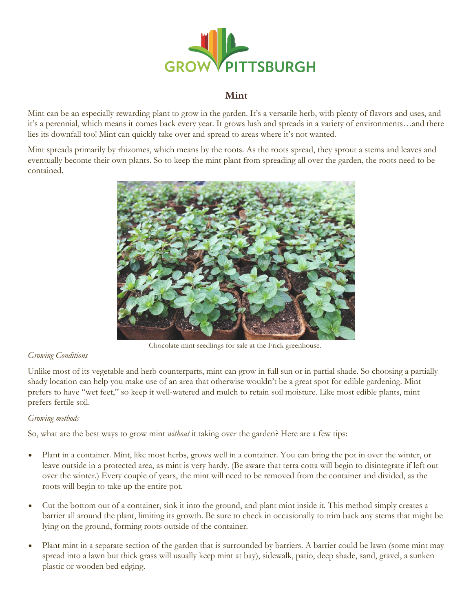

# **Mint**

Mint can be an especially rewarding plant to grow in the garden. It's a versatile herb, with plenty of flavors and uses, and it's a perennial, which means it comes back every year. It grows lush and spreads in a variety of environments…and there lies its downfall too! Mint can quickly take over and spread to areas where it's not wanted.

Mint spreads primarily by rhizomes, which means by the roots. As the roots spread, they sprout a stems and leaves and eventually become their own plants. So to keep the mint plant from spreading all over the garden, the roots need to be contained.



Chocolate mint seedlings for sale at the Frick greenhouse.

### *Growing Conditions*

Unlike most of its vegetable and herb counterparts, mint can grow in full sun or in partial shade. So choosing a partially shady location can help you make use of an area that otherwise wouldn't be a great spot for edible gardening. Mint prefers to have "wet feet," so keep it well-watered and mulch to retain soil moisture. Like most edible plants, mint prefers fertile soil.

### *Growing methods*

So, what are the best ways to grow mint *without* it taking over the garden? Here are a few tips:

- Plant in a container. Mint, like most herbs, grows well in a container. You can bring the pot in over the winter, or leave outside in a protected area, as mint is very hardy. (Be aware that terra cotta will begin to disintegrate if left out over the winter.) Every couple of years, the mint will need to be removed from the container and divided, as the roots will begin to take up the entire pot.
- Cut the bottom out of a container, sink it into the ground, and plant mint inside it. This method simply creates a barrier all around the plant, limiting its growth. Be sure to check in occasionally to trim back any stems that might be lying on the ground, forming roots outside of the container.
- Plant mint in a separate section of the garden that is surrounded by barriers. A barrier could be lawn (some mint may spread into a lawn but thick grass will usually keep mint at bay), sidewalk, patio, deep shade, sand, gravel, a sunken plastic or wooden bed edging.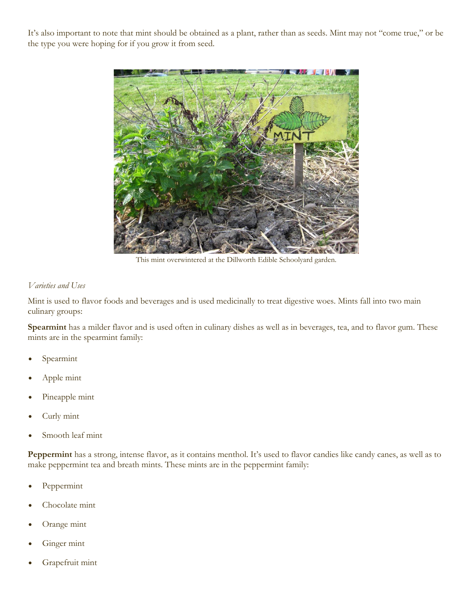It's also important to note that mint should be obtained as a plant, rather than as seeds. Mint may not "come true," or be the type you were hoping for if you grow it from seed.



This mint overwintered at the Dillworth Edible Schoolyard garden.

#### *Varieties and Uses*

Mint is used to flavor foods and beverages and is used medicinally to treat digestive woes. Mints fall into two main culinary groups:

**Spearmint** has a milder flavor and is used often in culinary dishes as well as in beverages, tea, and to flavor gum. These mints are in the spearmint family:

- Spearmint
- Apple mint
- Pineapple mint
- Curly mint
- Smooth leaf mint

Peppermint has a strong, intense flavor, as it contains menthol. It's used to flavor candies like candy canes, as well as to make peppermint tea and breath mints. These mints are in the peppermint family:

- Peppermint
- Chocolate mint
- Orange mint
- Ginger mint
- Grapefruit mint